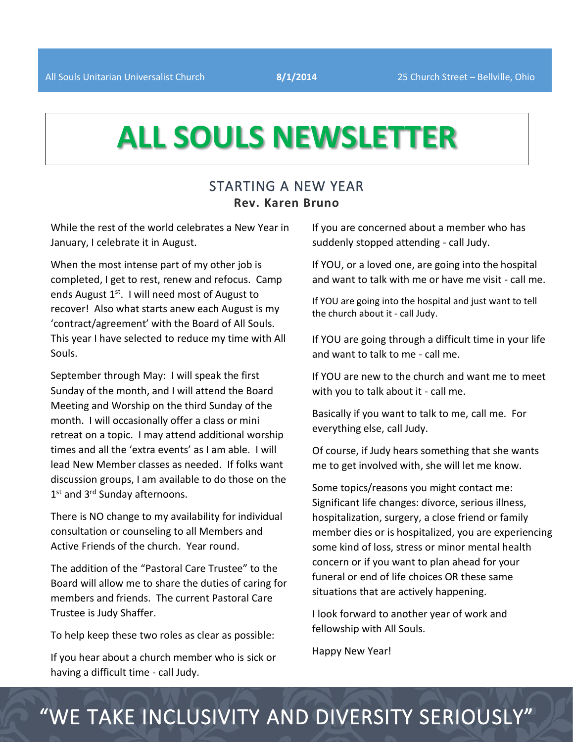# **ALL SOULS NEWSLETTER**

### STARTING A NEW YEAR **Rev. Karen Bruno**

While the rest of the world celebrates a New Year in January, I celebrate it in August.

When the most intense part of my other job is completed, I get to rest, renew and refocus. Camp ends August  $1<sup>st</sup>$ . I will need most of August to recover! Also what starts anew each August is my 'contract/agreement' with the Board of All Souls. This year I have selected to reduce my time with All Souls.

September through May: I will speak the first Sunday of the month, and I will attend the Board Meeting and Worship on the third Sunday of the month. I will occasionally offer a class or mini retreat on a topic. I may attend additional worship times and all the 'extra events' as I am able. I will lead New Member classes as needed. If folks want discussion groups, I am available to do those on the 1<sup>st</sup> and 3<sup>rd</sup> Sunday afternoons.

There is NO change to my availability for individual consultation or counseling to all Members and Active Friends of the church. Year round.

The addition of the "Pastoral Care Trustee" to the Board will allow me to share the duties of caring for members and friends. The current Pastoral Care Trustee is Judy Shaffer.

To help keep these two roles as clear as possible:

If you hear about a church member who is sick or having a difficult time - call Judy.

If you are concerned about a member who has suddenly stopped attending - call Judy.

If YOU, or a loved one, are going into the hospital and want to talk with me or have me visit - call me.

If YOU are going into the hospital and just want to tell the church about it - call Judy.

If YOU are going through a difficult time in your life and want to talk to me - call me.

If YOU are new to the church and want me to meet with you to talk about it - call me.

Basically if you want to talk to me, call me. For everything else, call Judy.

Of course, if Judy hears something that she wants me to get involved with, she will let me know.

Some topics/reasons you might contact me: Significant life changes: divorce, serious illness, hospitalization, surgery, a close friend or family member dies or is hospitalized, you are experiencing some kind of loss, stress or minor mental health concern or if you want to plan ahead for your funeral or end of life choices OR these same situations that are actively happening.

I look forward to another year of work and fellowship with All Souls.

Happy New Year!

## "WE TAKE INCLUSIVITY AND DIVERSITY SERIOUSLY"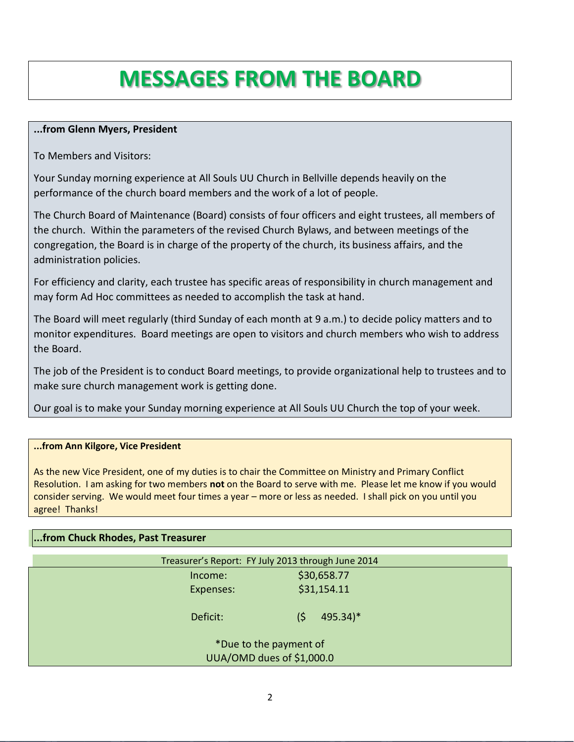## **MESSAGES FROM THE BOARD**

#### **...from Glenn Myers, President**

To Members and Visitors:

Your Sunday morning experience at All Souls UU Church in Bellville depends heavily on the performance of the church board members and the work of a lot of people.

The Church Board of Maintenance (Board) consists of four officers and eight trustees, all members of the church. Within the parameters of the revised Church Bylaws, and between meetings of the congregation, the Board is in charge of the property of the church, its business affairs, and the administration policies.

For efficiency and clarity, each trustee has specific areas of responsibility in church management and may form Ad Hoc committees as needed to accomplish the task at hand.

The Board will meet regularly (third Sunday of each month at 9 a.m.) to decide policy matters and to monitor expenditures. Board meetings are open to visitors and church members who wish to address the Board.

The job of the President is to conduct Board meetings, to provide organizational help to trustees and to make sure church management work is getting done.

Our goal is to make your Sunday morning experience at All Souls UU Church the top of your week.

#### **...from Ann Kilgore, Vice President**

As the new Vice President, one of my duties is to chair the Committee on Ministry and Primary Conflict Resolution. I am asking for two members **not** on the Board to serve with me. Please let me know if you would consider serving. We would meet four times a year – more or less as needed. I shall pick on you until you agree! Thanks!

#### **...from Chuck Rhodes, Past Treasurer**

| Treasurer's Report: FY July 2013 through June 2014  |                       |  |  |
|-----------------------------------------------------|-----------------------|--|--|
| Income:                                             | \$30,658.77           |  |  |
| Expenses:                                           | \$31,154.11           |  |  |
| Deficit:                                            | $495.34$ <sup>*</sup> |  |  |
| *Due to the payment of<br>UUA/OMD dues of \$1,000.0 |                       |  |  |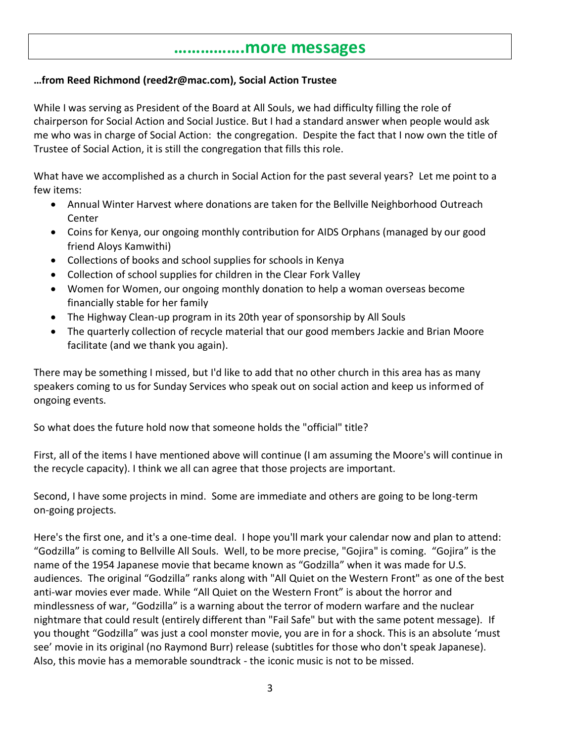### **…………….more messages**

#### **…from Reed Richmond (reed2r@mac.com), Social Action Trustee**

While I was serving as President of the Board at All Souls, we had difficulty filling the role of chairperson for Social Action and Social Justice. But I had a standard answer when people would ask me who was in charge of Social Action: the congregation. Despite the fact that I now own the title of Trustee of Social Action, it is still the congregation that fills this role.

What have we accomplished as a church in Social Action for the past several years? Let me point to a few items:

- Annual Winter Harvest where donations are taken for the Bellville Neighborhood Outreach Center
- Coins for Kenya, our ongoing monthly contribution for AIDS Orphans (managed by our good friend Aloys Kamwithi)
- Collections of books and school supplies for schools in Kenya
- Collection of school supplies for children in the Clear Fork Valley
- Women for Women, our ongoing monthly donation to help a woman overseas become financially stable for her family
- The Highway Clean-up program in its 20th year of sponsorship by All Souls
- The quarterly collection of recycle material that our good members Jackie and Brian Moore facilitate (and we thank you again).

There may be something I missed, but I'd like to add that no other church in this area has as many speakers coming to us for Sunday Services who speak out on social action and keep us informed of ongoing events.

So what does the future hold now that someone holds the "official" title?

First, all of the items I have mentioned above will continue (I am assuming the Moore's will continue in the recycle capacity). I think we all can agree that those projects are important.

Second, I have some projects in mind. Some are immediate and others are going to be long-term on-going projects.

Here's the first one, and it's a one-time deal. I hope you'll mark your calendar now and plan to attend: "Godzilla" is coming to Bellville All Souls. Well, to be more precise, "Gojira" is coming. "Gojira" is the name of the 1954 Japanese movie that became known as "Godzilla" when it was made for U.S. audiences. The original "Godzilla" ranks along with "All Quiet on the Western Front" as one of the best anti-war movies ever made. While "All Quiet on the Western Front" is about the horror and mindlessness of war, "Godzilla" is a warning about the terror of modern warfare and the nuclear nightmare that could result (entirely different than "Fail Safe" but with the same potent message). If you thought "Godzilla" was just a cool monster movie, you are in for a shock. This is an absolute 'must see' movie in its original (no Raymond Burr) release (subtitles for those who don't speak Japanese). Also, this movie has a memorable soundtrack - the iconic music is not to be missed.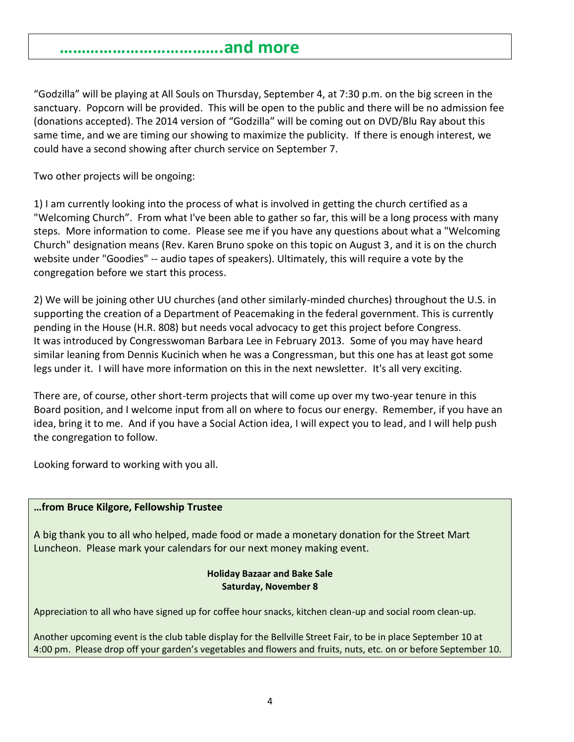## **……………………………….and more**

"Godzilla" will be playing at All Souls on Thursday, September 4, at 7:30 p.m. on the big screen in the sanctuary. Popcorn will be provided. This will be open to the public and there will be no admission fee (donations accepted). The 2014 version of "Godzilla" will be coming out on DVD/Blu Ray about this same time, and we are timing our showing to maximize the publicity. If there is enough interest, we could have a second showing after church service on September 7.

Two other projects will be ongoing:

1) I am currently looking into the process of what is involved in getting the church certified as a "Welcoming Church". From what I've been able to gather so far, this will be a long process with many steps. More information to come. Please see me if you have any questions about what a "Welcoming Church" designation means (Rev. Karen Bruno spoke on this topic on August 3, and it is on the church website under "Goodies" -- audio tapes of speakers). Ultimately, this will require a vote by the congregation before we start this process.

2) We will be joining other UU churches (and other similarly-minded churches) throughout the U.S. in supporting the creation of a Department of Peacemaking in the federal government. This is currently pending in the House (H.R. 808) but needs vocal advocacy to get this project before Congress. It was introduced by Congresswoman Barbara Lee in February 2013. Some of you may have heard similar leaning from Dennis Kucinich when he was a Congressman, but this one has at least got some legs under it. I will have more information on this in the next newsletter. It's all very exciting.

There are, of course, other short-term projects that will come up over my two-year tenure in this Board position, and I welcome input from all on where to focus our energy. Remember, if you have an idea, bring it to me. And if you have a Social Action idea, I will expect you to lead, and I will help push the congregation to follow.

Looking forward to working with you all.

#### **…from Bruce Kilgore, Fellowship Trustee**

A big thank you to all who helped, made food or made a monetary donation for the Street Mart Luncheon. Please mark your calendars for our next money making event.

#### **Holiday Bazaar and Bake Sale Saturday, November 8**

Appreciation to all who have signed up for coffee hour snacks, kitchen clean-up and social room clean-up.

Another upcoming event is the club table display for the Bellville Street Fair, to be in place September 10 at 4:00 pm. Please drop off your garden's vegetables and flowers and fruits, nuts, etc. on or before September 10.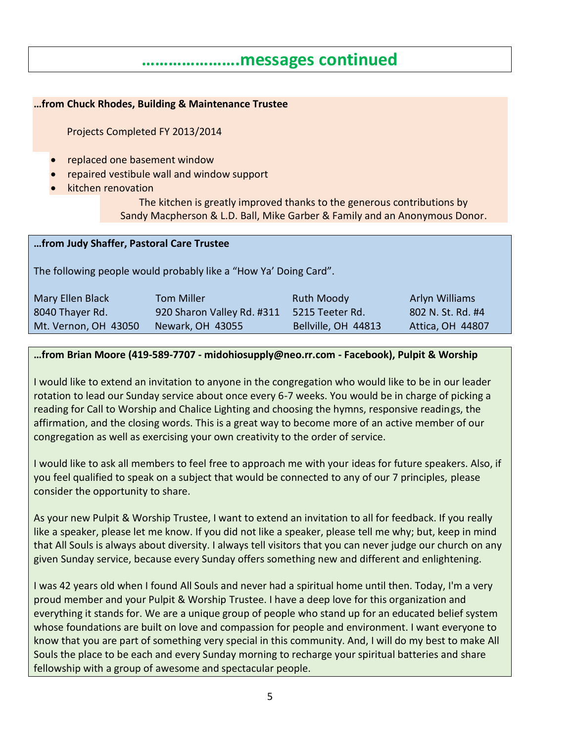## **………………….messages continued**

#### **…from Chuck Rhodes, Building & Maintenance Trustee**

Projects Completed FY 2013/2014

- replaced one basement window
- repaired vestibule wall and window support
- kitchen renovation

The kitchen is greatly improved thanks to the generous contributions by Sandy Macpherson & L.D. Ball, Mike Garber & Family and an Anonymous Donor.

#### **…from Judy Shaffer, Pastoral Care Trustee**

The following people would probably like a "How Ya' Doing Card".

| Mary Ellen Black     | <b>Tom Miller</b>          | Ruth Moody          | Arlyn Williams          |
|----------------------|----------------------------|---------------------|-------------------------|
| 8040 Thayer Rd.      | 920 Sharon Valley Rd. #311 | 5215 Teeter Rd.     | 802 N. St. Rd. #4       |
| Mt. Vernon, OH 43050 | Newark, OH 43055           | Bellville, OH 44813 | <b>Attica, OH 44807</b> |

#### **…from Brian Moore (419-589-7707 - midohiosupply@neo.rr.com - Facebook), Pulpit & Worship**

I would like to extend an invitation to anyone in the congregation who would like to be in our leader rotation to lead our Sunday service about once every 6-7 weeks. You would be in charge of picking a reading for Call to Worship and Chalice Lighting and choosing the hymns, responsive readings, the affirmation, and the closing words. This is a great way to become more of an active member of our congregation as well as exercising your own creativity to the order of service.

I would like to ask all members to feel free to approach me with your ideas for future speakers. Also, if you feel qualified to speak on a subject that would be connected to any of our 7 principles, please consider the opportunity to share.

As your new Pulpit & Worship Trustee, I want to extend an invitation to all for feedback. If you really like a speaker, please let me know. If you did not like a speaker, please tell me why; but, keep in mind that All Souls is always about diversity. I always tell visitors that you can never judge our church on any given Sunday service, because every Sunday offers something new and different and enlightening.

I was 42 years old when I found All Souls and never had a spiritual home until then. Today, I'm a very proud member and your Pulpit & Worship Trustee. I have a deep love for this organization and everything it stands for. We are a unique group of people who stand up for an educated belief system whose foundations are built on love and compassion for people and environment. I want everyone to know that you are part of something very special in this community. And, I will do my best to make All Souls the place to be each and every Sunday morning to recharge your spiritual batteries and share fellowship with a group of awesome and spectacular people.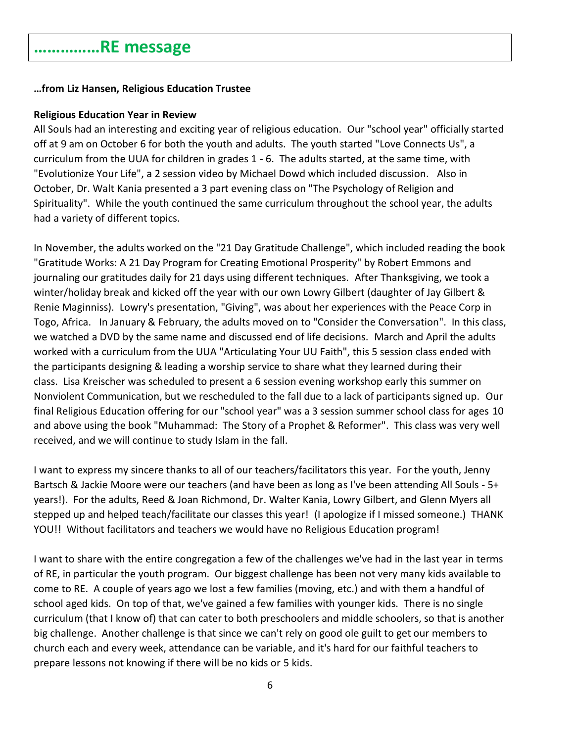## **……………RE message**

#### **…from Liz Hansen, Religious Education Trustee**

#### **Religious Education Year in Review**

All Souls had an interesting and exciting year of religious education. Our "school year" officially started off at 9 am on October 6 for both the youth and adults. The youth started "Love Connects Us", a curriculum from the UUA for children in grades 1 - 6. The adults started, at the same time, with "Evolutionize Your Life", a 2 session video by Michael Dowd which included discussion. Also in October, Dr. Walt Kania presented a 3 part evening class on "The Psychology of Religion and Spirituality". While the youth continued the same curriculum throughout the school year, the adults had a variety of different topics.

In November, the adults worked on the "21 Day Gratitude Challenge", which included reading the book "Gratitude Works: A 21 Day Program for Creating Emotional Prosperity" by Robert Emmons and journaling our gratitudes daily for 21 days using different techniques. After Thanksgiving, we took a winter/holiday break and kicked off the year with our own Lowry Gilbert (daughter of Jay Gilbert & Renie Maginniss). Lowry's presentation, "Giving", was about her experiences with the Peace Corp in Togo, Africa. In January & February, the adults moved on to "Consider the Conversation". In this class, we watched a DVD by the same name and discussed end of life decisions. March and April the adults worked with a curriculum from the UUA "Articulating Your UU Faith", this 5 session class ended with the participants designing & leading a worship service to share what they learned during their class. Lisa Kreischer was scheduled to present a 6 session evening workshop early this summer on Nonviolent Communication, but we rescheduled to the fall due to a lack of participants signed up. Our final Religious Education offering for our "school year" was a 3 session summer school class for ages 10 and above using the book "Muhammad: The Story of a Prophet & Reformer". This class was very well received, and we will continue to study Islam in the fall.

I want to express my sincere thanks to all of our teachers/facilitators this year. For the youth, Jenny Bartsch & Jackie Moore were our teachers (and have been as long as I've been attending All Souls - 5+ years!). For the adults, Reed & Joan Richmond, Dr. Walter Kania, Lowry Gilbert, and Glenn Myers all stepped up and helped teach/facilitate our classes this year! (I apologize if I missed someone.) THANK YOU!! Without facilitators and teachers we would have no Religious Education program!

I want to share with the entire congregation a few of the challenges we've had in the last year in terms of RE, in particular the youth program. Our biggest challenge has been not very many kids available to come to RE. A couple of years ago we lost a few families (moving, etc.) and with them a handful of school aged kids. On top of that, we've gained a few families with younger kids. There is no single curriculum (that I know of) that can cater to both preschoolers and middle schoolers, so that is another big challenge. Another challenge is that since we can't rely on good ole guilt to get our members to church each and every week, attendance can be variable, and it's hard for our faithful teachers to prepare lessons not knowing if there will be no kids or 5 kids.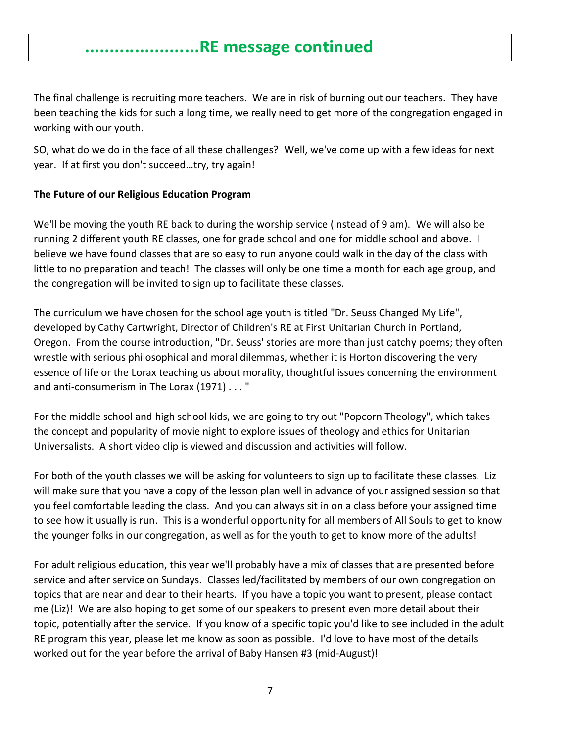## **.......................RE message continued**

The final challenge is recruiting more teachers. We are in risk of burning out our teachers. They have been teaching the kids for such a long time, we really need to get more of the congregation engaged in working with our youth.

SO, what do we do in the face of all these challenges? Well, we've come up with a few ideas for next year. If at first you don't succeed…try, try again!

#### **The Future of our Religious Education Program**

We'll be moving the youth RE back to during the worship service (instead of 9 am). We will also be running 2 different youth RE classes, one for grade school and one for middle school and above. I believe we have found classes that are so easy to run anyone could walk in the day of the class with little to no preparation and teach! The classes will only be one time a month for each age group, and the congregation will be invited to sign up to facilitate these classes.

The curriculum we have chosen for the school age youth is titled "Dr. Seuss Changed My Life", developed by Cathy Cartwright, Director of Children's RE at First Unitarian Church in Portland, Oregon. From the course introduction, "Dr. Seuss' stories are more than just catchy poems; they often wrestle with serious philosophical and moral dilemmas, whether it is Horton discovering the very essence of life or the Lorax teaching us about morality, thoughtful issues concerning the environment and anti-consumerism in The Lorax (1971) . . . "

For the middle school and high school kids, we are going to try out "Popcorn Theology", which takes the concept and popularity of movie night to explore issues of theology and ethics for Unitarian Universalists. A short video clip is viewed and discussion and activities will follow.

For both of the youth classes we will be asking for volunteers to sign up to facilitate these classes. Liz will make sure that you have a copy of the lesson plan well in advance of your assigned session so that you feel comfortable leading the class. And you can always sit in on a class before your assigned time to see how it usually is run. This is a wonderful opportunity for all members of All Souls to get to know the younger folks in our congregation, as well as for the youth to get to know more of the adults!

For adult religious education, this year we'll probably have a mix of classes that are presented before service and after service on Sundays. Classes led/facilitated by members of our own congregation on topics that are near and dear to their hearts. If you have a topic you want to present, please contact me (Liz)! We are also hoping to get some of our speakers to present even more detail about their topic, potentially after the service. If you know of a specific topic you'd like to see included in the adult RE program this year, please let me know as soon as possible. I'd love to have most of the details worked out for the year before the arrival of Baby Hansen #3 (mid-August)!